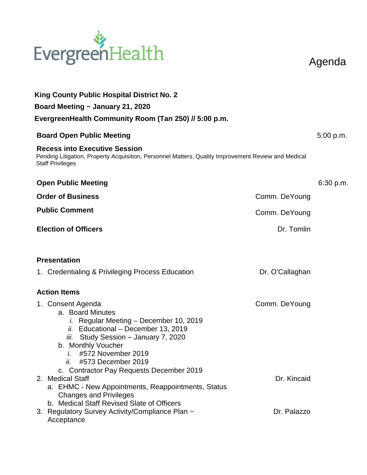

Agenda

| King County Public Hospital District No. 2                                                                                                                                                                                                  |                 |           |  |  |
|---------------------------------------------------------------------------------------------------------------------------------------------------------------------------------------------------------------------------------------------|-----------------|-----------|--|--|
| Board Meeting ~ January 21, 2020                                                                                                                                                                                                            |                 |           |  |  |
| EvergreenHealth Community Room (Tan 250) // 5:00 p.m.                                                                                                                                                                                       |                 |           |  |  |
| <b>Board Open Public Meeting</b>                                                                                                                                                                                                            |                 |           |  |  |
| <b>Recess into Executive Session</b><br>Pending Litigation, Property Acquisition, Personnel Matters, Quality Improvement Review and Medical<br><b>Staff Privileges</b>                                                                      |                 |           |  |  |
| <b>Open Public Meeting</b>                                                                                                                                                                                                                  |                 | 6:30 p.m. |  |  |
| <b>Order of Business</b>                                                                                                                                                                                                                    | Comm. DeYoung   |           |  |  |
| <b>Public Comment</b>                                                                                                                                                                                                                       | Comm. DeYoung   |           |  |  |
| <b>Election of Officers</b>                                                                                                                                                                                                                 | Dr. Tomlin      |           |  |  |
| <b>Presentation</b>                                                                                                                                                                                                                         |                 |           |  |  |
| 1. Credentialing & Privileging Process Education                                                                                                                                                                                            | Dr. O'Callaghan |           |  |  |
| <b>Action Items</b>                                                                                                                                                                                                                         |                 |           |  |  |
| 1. Consent Agenda<br>a. Board Minutes<br><i>i.</i> Regular Meeting – December 10, 2019<br>ii. Educational - December 13, 2019<br>iii. Study Session - January 7, 2020<br>b. Monthly Voucher<br>#572 November 2019<br>ii. #573 December 2019 | Comm. DeYoung   |           |  |  |
| c. Contractor Pay Requests December 2019<br>2. Medical Staff<br>a. EHMC - New Appointments, Reappointments, Status<br><b>Changes and Privileges</b><br>b. Medical Staff Revised Slate of Officers                                           | Dr. Kincaid     |           |  |  |
| 3. Regulatory Survey Activity/Compliance Plan ~<br>Acceptance                                                                                                                                                                               | Dr. Palazzo     |           |  |  |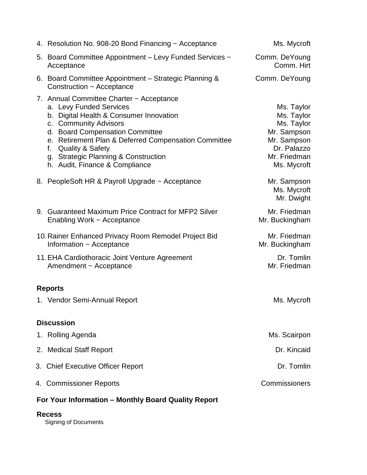|                                                     | 4. Resolution No. 908-20 Bond Financing ~ Acceptance                                                                                                                                                                                                                                                                                              | Ms. Mycroft                                                                                                        |  |
|-----------------------------------------------------|---------------------------------------------------------------------------------------------------------------------------------------------------------------------------------------------------------------------------------------------------------------------------------------------------------------------------------------------------|--------------------------------------------------------------------------------------------------------------------|--|
|                                                     | 5. Board Committee Appointment – Levy Funded Services ~<br>Acceptance                                                                                                                                                                                                                                                                             | Comm. DeYoung<br>Comm. Hirt                                                                                        |  |
|                                                     | 6. Board Committee Appointment – Strategic Planning &<br>Construction ~ Acceptance                                                                                                                                                                                                                                                                | Comm. DeYoung                                                                                                      |  |
|                                                     | 7. Annual Committee Charter ~ Acceptance<br>a. Levy Funded Services<br>b. Digital Health & Consumer Innovation<br>c. Community Advisors<br>d. Board Compensation Committee<br>e. Retirement Plan & Deferred Compensation Committee<br><b>Quality &amp; Safety</b><br>f.<br>g. Strategic Planning & Construction<br>h. Audit, Finance & Compliance | Ms. Taylor<br>Ms. Taylor<br>Ms. Taylor<br>Mr. Sampson<br>Mr. Sampson<br>Dr. Palazzo<br>Mr. Friedman<br>Ms. Mycroft |  |
|                                                     | 8. PeopleSoft HR & Payroll Upgrade ~ Acceptance                                                                                                                                                                                                                                                                                                   | Mr. Sampson<br>Ms. Mycroft<br>Mr. Dwight                                                                           |  |
|                                                     | 9. Guaranteed Maximum Price Contract for MFP2 Silver<br>Enabling Work ~ Acceptance                                                                                                                                                                                                                                                                | Mr. Friedman<br>Mr. Buckingham                                                                                     |  |
|                                                     | 10. Rainer Enhanced Privacy Room Remodel Project Bid<br>Information ~ Acceptance                                                                                                                                                                                                                                                                  | Mr. Friedman<br>Mr. Buckingham                                                                                     |  |
|                                                     | 11. EHA Cardiothoracic Joint Venture Agreement<br>Amendment ~ Acceptance                                                                                                                                                                                                                                                                          | Dr. Tomlin<br>Mr. Friedman                                                                                         |  |
| <b>Reports</b>                                      |                                                                                                                                                                                                                                                                                                                                                   |                                                                                                                    |  |
|                                                     | 1. Vendor Semi-Annual Report                                                                                                                                                                                                                                                                                                                      | Ms. Mycroft                                                                                                        |  |
|                                                     | <b>Discussion</b>                                                                                                                                                                                                                                                                                                                                 |                                                                                                                    |  |
|                                                     | 1. Rolling Agenda                                                                                                                                                                                                                                                                                                                                 | Ms. Scairpon                                                                                                       |  |
|                                                     | 2. Medical Staff Report                                                                                                                                                                                                                                                                                                                           | Dr. Kincaid                                                                                                        |  |
|                                                     | 3. Chief Executive Officer Report                                                                                                                                                                                                                                                                                                                 | Dr. Tomlin                                                                                                         |  |
|                                                     | 4. Commissioner Reports                                                                                                                                                                                                                                                                                                                           | Commissioners                                                                                                      |  |
| For Your Information - Monthly Board Quality Report |                                                                                                                                                                                                                                                                                                                                                   |                                                                                                                    |  |
| <b>Recess</b>                                       |                                                                                                                                                                                                                                                                                                                                                   |                                                                                                                    |  |

Signing of Documents